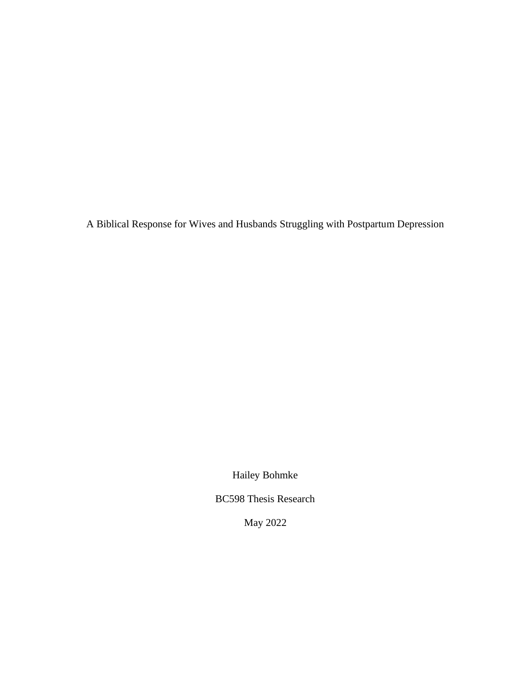A Biblical Response for Wives and Husbands Struggling with Postpartum Depression

Hailey Bohmke

BC598 Thesis Research

May 2022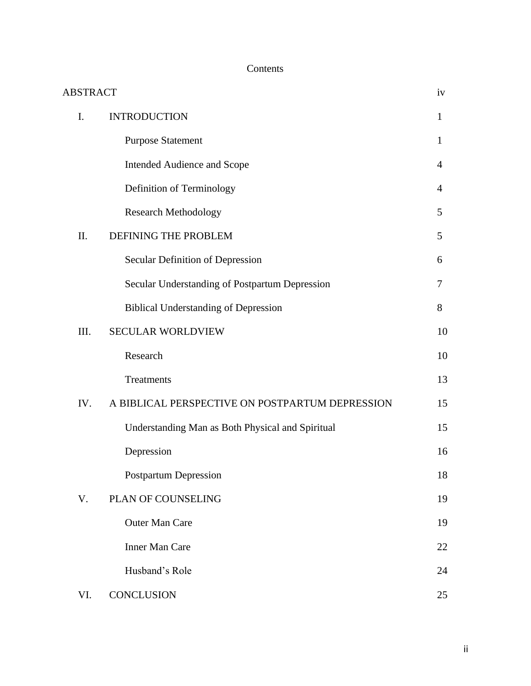# Contents

| <b>ABSTRACT</b> |                                                  | iv             |
|-----------------|--------------------------------------------------|----------------|
| I.              | <b>INTRODUCTION</b>                              | $\mathbf{1}$   |
|                 | <b>Purpose Statement</b>                         | $\mathbf{1}$   |
|                 | Intended Audience and Scope                      | 4              |
|                 | Definition of Terminology                        | $\overline{4}$ |
|                 | <b>Research Methodology</b>                      | 5              |
| II.             | DEFINING THE PROBLEM                             | 5              |
|                 | Secular Definition of Depression                 | 6              |
|                 | Secular Understanding of Postpartum Depression   | 7              |
|                 | <b>Biblical Understanding of Depression</b>      | 8              |
| III.            | <b>SECULAR WORLDVIEW</b>                         | 10             |
|                 | Research                                         | 10             |
|                 | Treatments                                       | 13             |
| IV.             | A BIBLICAL PERSPECTIVE ON POSTPARTUM DEPRESSION  | 15             |
|                 | Understanding Man as Both Physical and Spiritual | 15             |
|                 | Depression                                       | 16             |
|                 | <b>Postpartum Depression</b>                     | 18             |
| V.              | PLAN OF COUNSELING                               | 19             |
|                 | <b>Outer Man Care</b>                            | 19             |
|                 | <b>Inner Man Care</b>                            | 22             |
|                 | Husband's Role                                   | 24             |
| VI.             | CONCLUSION                                       | 25             |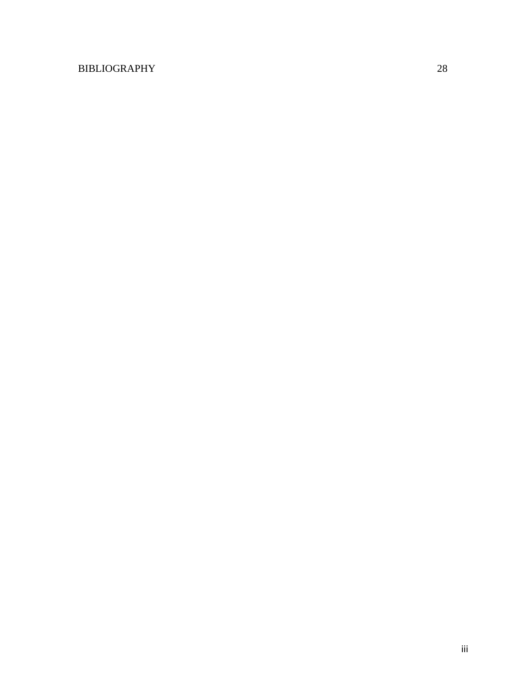# BIBLIOGRAPHY 28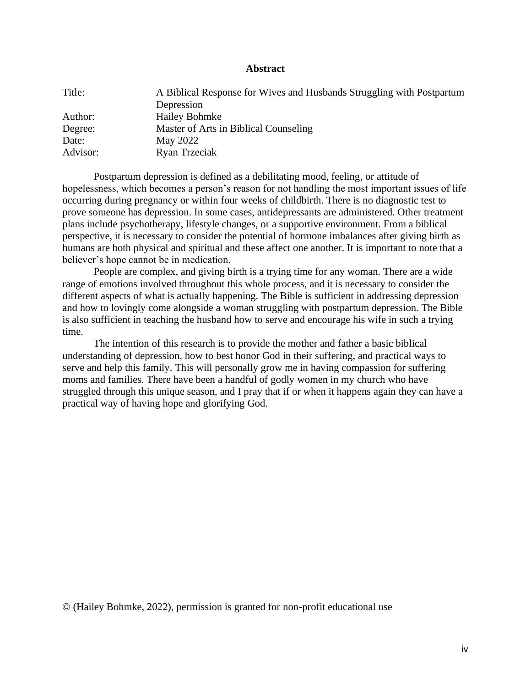### **Abstract**

| Title:   | A Biblical Response for Wives and Husbands Struggling with Postpartum |
|----------|-----------------------------------------------------------------------|
|          | Depression                                                            |
| Author:  | <b>Hailey Bohmke</b>                                                  |
| Degree:  | Master of Arts in Biblical Counseling                                 |
| Date:    | May 2022                                                              |
| Advisor: | Ryan Trzeciak                                                         |

Postpartum depression is defined as a debilitating mood, feeling, or attitude of hopelessness, which becomes a person's reason for not handling the most important issues of life occurring during pregnancy or within four weeks of childbirth. There is no diagnostic test to prove someone has depression. In some cases, antidepressants are administered. Other treatment plans include psychotherapy, lifestyle changes, or a supportive environment. From a biblical perspective, it is necessary to consider the potential of hormone imbalances after giving birth as humans are both physical and spiritual and these affect one another. It is important to note that a believer's hope cannot be in medication.

People are complex, and giving birth is a trying time for any woman. There are a wide range of emotions involved throughout this whole process, and it is necessary to consider the different aspects of what is actually happening. The Bible is sufficient in addressing depression and how to lovingly come alongside a woman struggling with postpartum depression. The Bible is also sufficient in teaching the husband how to serve and encourage his wife in such a trying time.

The intention of this research is to provide the mother and father a basic biblical understanding of depression, how to best honor God in their suffering, and practical ways to serve and help this family. This will personally grow me in having compassion for suffering moms and families. There have been a handful of godly women in my church who have struggled through this unique season, and I pray that if or when it happens again they can have a practical way of having hope and glorifying God.

© (Hailey Bohmke, 2022), permission is granted for non-profit educational use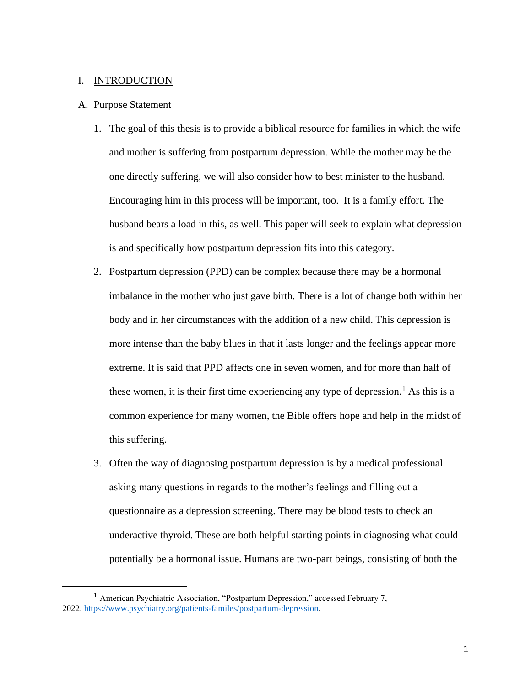### I. INTRODUCTION

### A. Purpose Statement

- 1. The goal of this thesis is to provide a biblical resource for families in which the wife and mother is suffering from postpartum depression. While the mother may be the one directly suffering, we will also consider how to best minister to the husband. Encouraging him in this process will be important, too. It is a family effort. The husband bears a load in this, as well. This paper will seek to explain what depression is and specifically how postpartum depression fits into this category.
- 2. Postpartum depression (PPD) can be complex because there may be a hormonal imbalance in the mother who just gave birth. There is a lot of change both within her body and in her circumstances with the addition of a new child. This depression is more intense than the baby blues in that it lasts longer and the feelings appear more extreme. It is said that PPD affects one in seven women, and for more than half of these women, it is their first time experiencing any type of depression.<sup>1</sup> As this is a common experience for many women, the Bible offers hope and help in the midst of this suffering.
- 3. Often the way of diagnosing postpartum depression is by a medical professional asking many questions in regards to the mother's feelings and filling out a questionnaire as a depression screening. There may be blood tests to check an underactive thyroid. These are both helpful starting points in diagnosing what could potentially be a hormonal issue. Humans are two-part beings, consisting of both the

<sup>&</sup>lt;sup>1</sup> American Psychiatric Association, "Postpartum Depression," accessed February 7, 2022. [https://www.psychiatry.org/patients-familes/postpartum-depression.](https://www.psychiatry.org/patients-familes/postpartum-depression)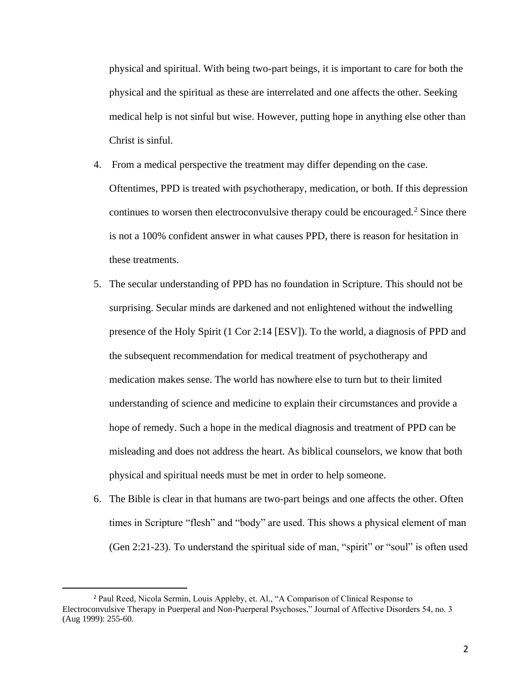physical and spiritual. With being two-part beings, it is important to care for both the physical and the spiritual as these are interrelated and one affects the other. Seeking medical help is not sinful but wise. However, putting hope in anything else other than Christ is sinful.

- 4. From a medical perspective the treatment may differ depending on the case. Oftentimes, PPD is treated with psychotherapy, medication, or both. If this depression continues to worsen then electroconvulsive therapy could be encouraged.<sup>2</sup> Since there is not a 100% confident answer in what causes PPD, there is reason for hesitation in these treatments.
- 5. The secular understanding of PPD has no foundation in Scripture. This should not be surprising. Secular minds are darkened and not enlightened without the indwelling presence of the Holy Spirit (1 Cor 2:14 [ESV]). To the world, a diagnosis of PPD and the subsequent recommendation for medical treatment of psychotherapy and medication makes sense. The world has nowhere else to turn but to their limited understanding of science and medicine to explain their circumstances and provide a hope of remedy. Such a hope in the medical diagnosis and treatment of PPD can be misleading and does not address the heart. As biblical counselors, we know that both physical and spiritual needs must be met in order to help someone.
- 6. The Bible is clear in that humans are two-part beings and one affects the other. Often times in Scripture "flesh" and "body" are used. This shows a physical element of man (Gen 2:21-23). To understand the spiritual side of man, "spirit" or "soul" is often used

<sup>2</sup> Paul Reed, Nicola Sermin, Louis Appleby, et. Al., "A Comparison of Clinical Response to Electroconvulsive Therapy in Puerperal and Non-Puerperal Psychoses," Journal of Affective Disorders 54, no. 3 (Aug 1999): 255-60.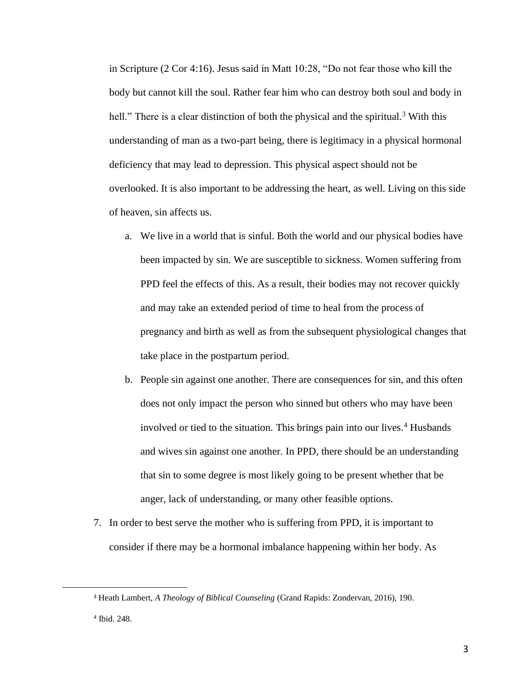in Scripture (2 Cor 4:16). Jesus said in Matt 10:28, "Do not fear those who kill the body but cannot kill the soul. Rather fear him who can destroy both soul and body in hell." There is a clear distinction of both the physical and the spiritual.<sup>3</sup> With this understanding of man as a two-part being, there is legitimacy in a physical hormonal deficiency that may lead to depression. This physical aspect should not be overlooked. It is also important to be addressing the heart, as well. Living on this side of heaven, sin affects us.

- a. We live in a world that is sinful. Both the world and our physical bodies have been impacted by sin. We are susceptible to sickness. Women suffering from PPD feel the effects of this. As a result, their bodies may not recover quickly and may take an extended period of time to heal from the process of pregnancy and birth as well as from the subsequent physiological changes that take place in the postpartum period.
- b. People sin against one another. There are consequences for sin, and this often does not only impact the person who sinned but others who may have been involved or tied to the situation. This brings pain into our lives.<sup>4</sup> Husbands and wives sin against one another. In PPD, there should be an understanding that sin to some degree is most likely going to be present whether that be anger, lack of understanding, or many other feasible options.
- 7. In order to best serve the mother who is suffering from PPD, it is important to consider if there may be a hormonal imbalance happening within her body. As

<sup>3</sup> Heath Lambert, *A Theology of Biblical Counseling* (Grand Rapids: Zondervan, 2016), 190.

<sup>4</sup> Ibid. 248.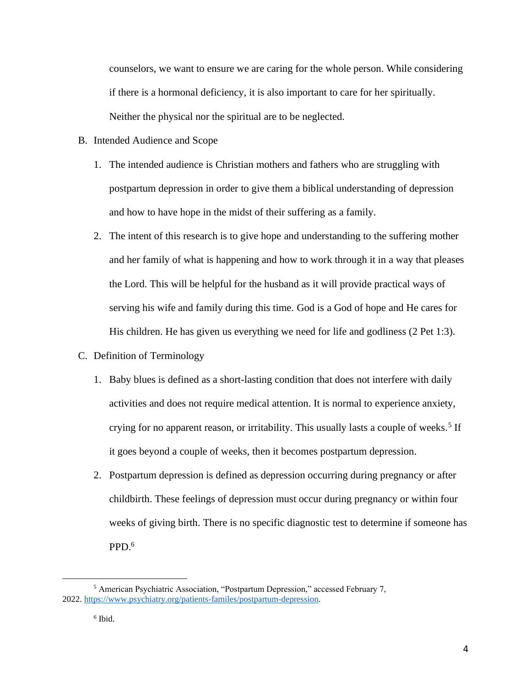counselors, we want to ensure we are caring for the whole person. While considering if there is a hormonal deficiency, it is also important to care for her spiritually. Neither the physical nor the spiritual are to be neglected.

- B. Intended Audience and Scope
	- 1. The intended audience is Christian mothers and fathers who are struggling with postpartum depression in order to give them a biblical understanding of depression and how to have hope in the midst of their suffering as a family.
	- 2. The intent of this research is to give hope and understanding to the suffering mother and her family of what is happening and how to work through it in a way that pleases the Lord. This will be helpful for the husband as it will provide practical ways of serving his wife and family during this time. God is a God of hope and He cares for His children. He has given us everything we need for life and godliness (2 Pet 1:3).
- C. Definition of Terminology
	- 1. Baby blues is defined as a short-lasting condition that does not interfere with daily activities and does not require medical attention. It is normal to experience anxiety, crying for no apparent reason, or irritability. This usually lasts a couple of weeks.<sup>5</sup> If it goes beyond a couple of weeks, then it becomes postpartum depression.
	- 2. Postpartum depression is defined as depression occurring during pregnancy or after childbirth. These feelings of depression must occur during pregnancy or within four weeks of giving birth. There is no specific diagnostic test to determine if someone has PPD. 6

<sup>5</sup> American Psychiatric Association, "Postpartum Depression," accessed February 7, 2022. [https://www.psychiatry.org/patients-familes/postpartum-depression.](https://www.psychiatry.org/patients-familes/postpartum-depression)

<sup>6</sup> Ibid.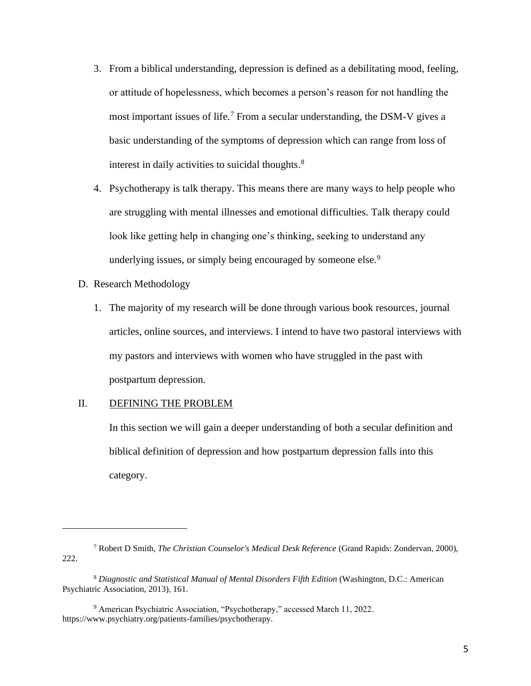- 3. From a biblical understanding, depression is defined as a debilitating mood, feeling, or attitude of hopelessness, which becomes a person's reason for not handling the most important issues of life.<sup>7</sup> From a secular understanding, the DSM-V gives a basic understanding of the symptoms of depression which can range from loss of interest in daily activities to suicidal thoughts.<sup>8</sup>
- 4. Psychotherapy is talk therapy. This means there are many ways to help people who are struggling with mental illnesses and emotional difficulties. Talk therapy could look like getting help in changing one's thinking, seeking to understand any underlying issues, or simply being encouraged by someone else.<sup>9</sup>
- D. Research Methodology
	- 1. The majority of my research will be done through various book resources, journal articles, online sources, and interviews. I intend to have two pastoral interviews with my pastors and interviews with women who have struggled in the past with postpartum depression.

# II. DEFINING THE PROBLEM

In this section we will gain a deeper understanding of both a secular definition and biblical definition of depression and how postpartum depression falls into this category.

<sup>7</sup> Robert D Smith, *The Christian Counselor's Medical Desk Reference* (Grand Rapids: Zondervan, 2000), 222.

<sup>8</sup> *Diagnostic and Statistical Manual of Mental Disorders Fifth Edition* (Washington, D.C.: American Psychiatric Association, 2013), 161.

<sup>9</sup> American Psychiatric Association, "Psychotherapy," accessed March 11, 2022. https://www.psychiatry.org/patients-families/psychotherapy.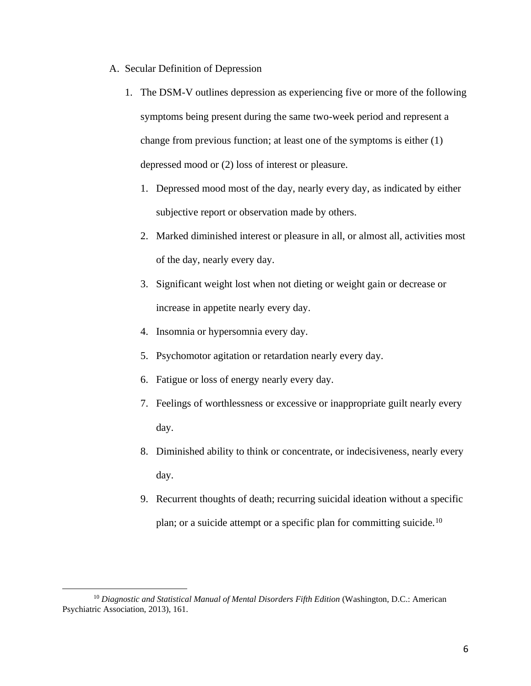- A. Secular Definition of Depression
	- 1. The DSM-V outlines depression as experiencing five or more of the following symptoms being present during the same two-week period and represent a change from previous function; at least one of the symptoms is either (1) depressed mood or (2) loss of interest or pleasure.
		- 1. Depressed mood most of the day, nearly every day, as indicated by either subjective report or observation made by others.
		- 2. Marked diminished interest or pleasure in all, or almost all, activities most of the day, nearly every day.
		- 3. Significant weight lost when not dieting or weight gain or decrease or increase in appetite nearly every day.
		- 4. Insomnia or hypersomnia every day.
		- 5. Psychomotor agitation or retardation nearly every day.
		- 6. Fatigue or loss of energy nearly every day.
		- 7. Feelings of worthlessness or excessive or inappropriate guilt nearly every day.
		- 8. Diminished ability to think or concentrate, or indecisiveness, nearly every day.
		- 9. Recurrent thoughts of death; recurring suicidal ideation without a specific plan; or a suicide attempt or a specific plan for committing suicide.<sup>10</sup>

<sup>&</sup>lt;sup>10</sup> Diagnostic and Statistical Manual of Mental Disorders Fifth Edition (Washington, D.C.: American Psychiatric Association, 2013), 161.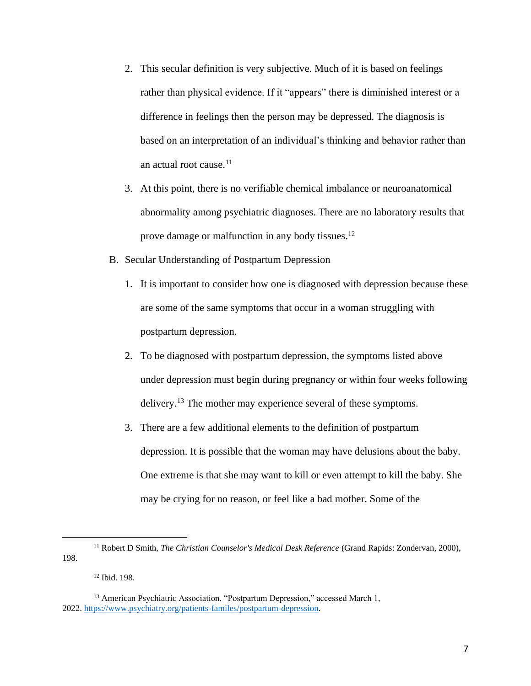- 2. This secular definition is very subjective. Much of it is based on feelings rather than physical evidence. If it "appears" there is diminished interest or a difference in feelings then the person may be depressed. The diagnosis is based on an interpretation of an individual's thinking and behavior rather than an actual root cause. 11
- 3. At this point, there is no verifiable chemical imbalance or neuroanatomical abnormality among psychiatric diagnoses. There are no laboratory results that prove damage or malfunction in any body tissues.<sup>12</sup>
- B. Secular Understanding of Postpartum Depression
	- 1. It is important to consider how one is diagnosed with depression because these are some of the same symptoms that occur in a woman struggling with postpartum depression.
	- 2. To be diagnosed with postpartum depression, the symptoms listed above under depression must begin during pregnancy or within four weeks following delivery.<sup>13</sup> The mother may experience several of these symptoms.
	- 3. There are a few additional elements to the definition of postpartum depression. It is possible that the woman may have delusions about the baby. One extreme is that she may want to kill or even attempt to kill the baby. She may be crying for no reason, or feel like a bad mother. Some of the

<sup>12</sup> Ibid. 198.

<sup>11</sup> Robert D Smith, *The Christian Counselor's Medical Desk Reference* (Grand Rapids: Zondervan, 2000), 198.

<sup>&</sup>lt;sup>13</sup> American Psychiatric Association, "Postpartum Depression," accessed March 1, 2022. [https://www.psychiatry.org/patients-familes/postpartum-depression.](https://www.psychiatry.org/patients-familes/postpartum-depression)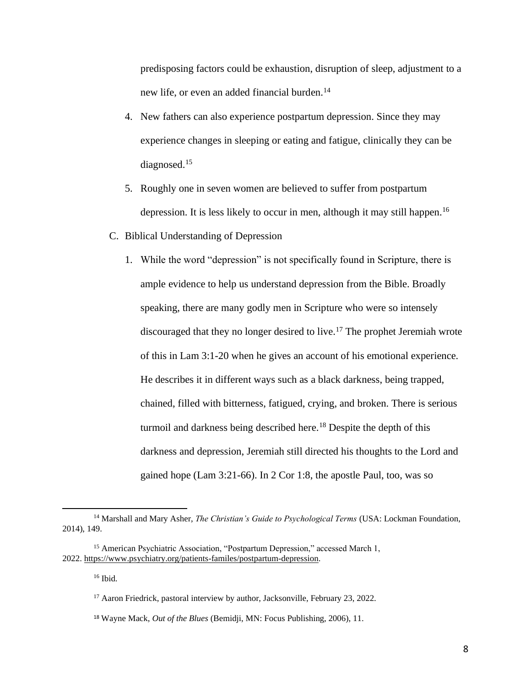predisposing factors could be exhaustion, disruption of sleep, adjustment to a new life, or even an added financial burden.<sup>14</sup>

- 4. New fathers can also experience postpartum depression. Since they may experience changes in sleeping or eating and fatigue, clinically they can be diagnosed.<sup>15</sup>
- 5. Roughly one in seven women are believed to suffer from postpartum depression. It is less likely to occur in men, although it may still happen. 16
- C. Biblical Understanding of Depression
	- 1. While the word "depression" is not specifically found in Scripture, there is ample evidence to help us understand depression from the Bible. Broadly speaking, there are many godly men in Scripture who were so intensely discouraged that they no longer desired to live.<sup>17</sup> The prophet Jeremiah wrote of this in Lam 3:1-20 when he gives an account of his emotional experience. He describes it in different ways such as a black darkness, being trapped, chained, filled with bitterness, fatigued, crying, and broken. There is serious turmoil and darkness being described here.<sup>18</sup> Despite the depth of this darkness and depression, Jeremiah still directed his thoughts to the Lord and gained hope (Lam 3:21-66). In 2 Cor 1:8, the apostle Paul, too, was so

<sup>&</sup>lt;sup>14</sup> Marshall and Mary Asher, *The Christian's Guide to Psychological Terms* (USA: Lockman Foundation, 2014), 149.

<sup>&</sup>lt;sup>15</sup> American Psychiatric Association, "Postpartum Depression," accessed March 1, 2022. [https://www.psychiatry.org/patients-familes/postpartum-depression.](https://www.psychiatry.org/patients-familes/postpartum-depression)

<sup>16</sup> Ibid.

<sup>&</sup>lt;sup>17</sup> Aaron Friedrick, pastoral interview by author, Jacksonville, February 23, 2022.

<sup>18</sup> Wayne Mack, *Out of the Blues* (Bemidji, MN: Focus Publishing, 2006), 11.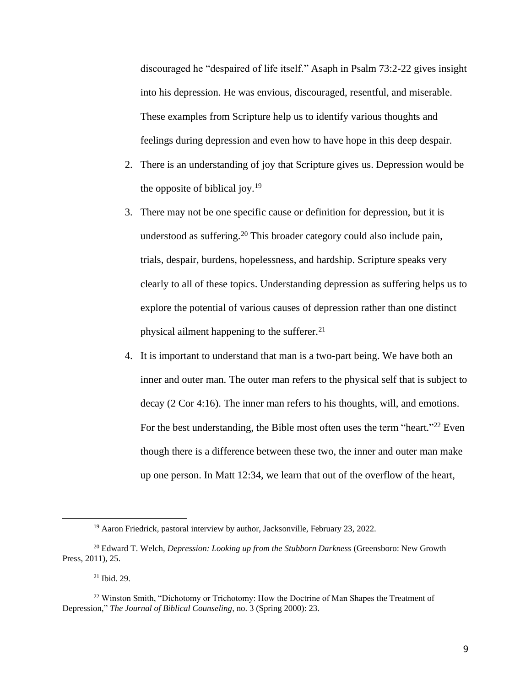discouraged he "despaired of life itself." Asaph in Psalm 73:2-22 gives insight into his depression. He was envious, discouraged, resentful, and miserable. These examples from Scripture help us to identify various thoughts and feelings during depression and even how to have hope in this deep despair.

- 2. There is an understanding of joy that Scripture gives us. Depression would be the opposite of biblical joy.<sup>19</sup>
- 3. There may not be one specific cause or definition for depression, but it is understood as suffering.<sup>20</sup> This broader category could also include pain, trials, despair, burdens, hopelessness, and hardship. Scripture speaks very clearly to all of these topics. Understanding depression as suffering helps us to explore the potential of various causes of depression rather than one distinct physical ailment happening to the sufferer. $21$
- 4. It is important to understand that man is a two-part being. We have both an inner and outer man. The outer man refers to the physical self that is subject to decay (2 Cor 4:16). The inner man refers to his thoughts, will, and emotions. For the best understanding, the Bible most often uses the term "heart."<sup>22</sup> Even though there is a difference between these two, the inner and outer man make up one person. In Matt 12:34, we learn that out of the overflow of the heart,

 $19$  Aaron Friedrick, pastoral interview by author, Jacksonville, February 23, 2022.

<sup>20</sup> Edward T. Welch, *Depression: Looking up from the Stubborn Darkness* (Greensboro: New Growth Press, 2011), 25.

<sup>21</sup> Ibid. 29.

<sup>&</sup>lt;sup>22</sup> Winston Smith, "Dichotomy or Trichotomy: How the Doctrine of Man Shapes the Treatment of Depression," *The Journal of Biblical Counseling*, no. 3 (Spring 2000): 23.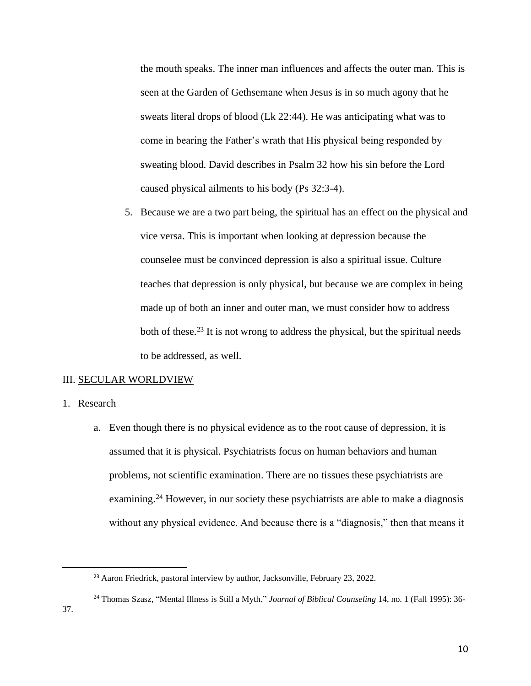the mouth speaks. The inner man influences and affects the outer man. This is seen at the Garden of Gethsemane when Jesus is in so much agony that he sweats literal drops of blood (Lk 22:44). He was anticipating what was to come in bearing the Father's wrath that His physical being responded by sweating blood. David describes in Psalm 32 how his sin before the Lord caused physical ailments to his body (Ps 32:3-4).

5. Because we are a two part being, the spiritual has an effect on the physical and vice versa. This is important when looking at depression because the counselee must be convinced depression is also a spiritual issue. Culture teaches that depression is only physical, but because we are complex in being made up of both an inner and outer man, we must consider how to address both of these.<sup>23</sup> It is not wrong to address the physical, but the spiritual needs to be addressed, as well.

#### III. SECULAR WORLDVIEW

- 1. Research
	- a. Even though there is no physical evidence as to the root cause of depression, it is assumed that it is physical. Psychiatrists focus on human behaviors and human problems, not scientific examination. There are no tissues these psychiatrists are examining.<sup>24</sup> However, in our society these psychiatrists are able to make a diagnosis without any physical evidence. And because there is a "diagnosis," then that means it

37.

<sup>&</sup>lt;sup>23</sup> Aaron Friedrick, pastoral interview by author, Jacksonville, February 23, 2022.

<sup>24</sup> Thomas Szasz, "Mental Illness is Still a Myth," *Journal of Biblical Counseling* 14, no. 1 (Fall 1995): 36-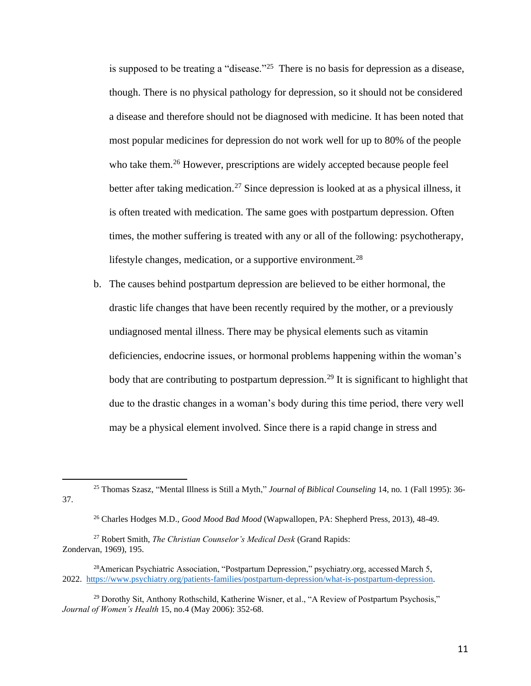is supposed to be treating a "disease."<sup>25</sup> There is no basis for depression as a disease, though. There is no physical pathology for depression, so it should not be considered a disease and therefore should not be diagnosed with medicine. It has been noted that most popular medicines for depression do not work well for up to 80% of the people who take them.<sup>26</sup> However, prescriptions are widely accepted because people feel better after taking medication.<sup>27</sup> Since depression is looked at as a physical illness, it is often treated with medication. The same goes with postpartum depression. Often times, the mother suffering is treated with any or all of the following: psychotherapy, lifestyle changes, medication, or a supportive environment.<sup>28</sup>

b. The causes behind postpartum depression are believed to be either hormonal, the drastic life changes that have been recently required by the mother, or a previously undiagnosed mental illness. There may be physical elements such as vitamin deficiencies, endocrine issues, or hormonal problems happening within the woman's body that are contributing to postpartum depression.<sup>29</sup> It is significant to highlight that due to the drastic changes in a woman's body during this time period, there very well may be a physical element involved. Since there is a rapid change in stress and

<sup>25</sup> Thomas Szasz, "Mental Illness is Still a Myth," *Journal of Biblical Counseling* 14, no. 1 (Fall 1995): 36- 37.

<sup>26</sup> Charles Hodges M.D., *Good Mood Bad Mood* (Wapwallopen, PA: Shepherd Press, 2013), 48-49.

<sup>27</sup> Robert Smith, *The Christian Counselor's Medical Desk* (Grand Rapids: Zondervan, 1969), 195.

<sup>&</sup>lt;sup>28</sup> American Psychiatric Association, "Postpartum Depression," psychiatry.org, accessed March 5, 2022. [https://www.psychiatry.org/patients-families/postpartum-depression/what-is-postpartum-depression.](https://www.psychiatry.org/patients-families/postpartum-depression/what-is-postpartum-depression)

 $29$  Dorothy Sit, Anthony Rothschild, Katherine Wisner, et al., "A Review of Postpartum Psychosis," *Journal of Women's Health* 15, no.4 (May 2006): 352-68.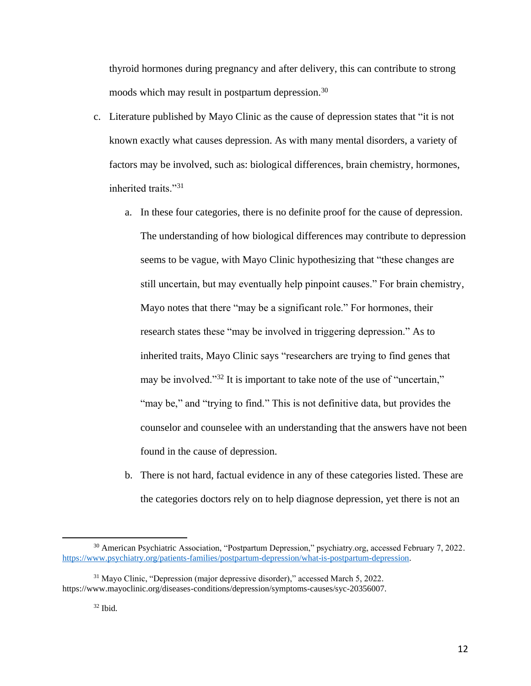thyroid hormones during pregnancy and after delivery, this can contribute to strong moods which may result in postpartum depression.<sup>30</sup>

- c. Literature published by Mayo Clinic as the cause of depression states that "it is not known exactly what causes depression. As with many mental disorders, a variety of factors may be involved, such as: biological differences, brain chemistry, hormones, inherited traits."<sup>31</sup>
	- a. In these four categories, there is no definite proof for the cause of depression. The understanding of how biological differences may contribute to depression seems to be vague, with Mayo Clinic hypothesizing that "these changes are still uncertain, but may eventually help pinpoint causes." For brain chemistry, Mayo notes that there "may be a significant role." For hormones, their research states these "may be involved in triggering depression." As to inherited traits, Mayo Clinic says "researchers are trying to find genes that may be involved."<sup>32</sup> It is important to take note of the use of "uncertain," "may be," and "trying to find." This is not definitive data, but provides the counselor and counselee with an understanding that the answers have not been found in the cause of depression.
	- b. There is not hard, factual evidence in any of these categories listed. These are the categories doctors rely on to help diagnose depression, yet there is not an

<sup>&</sup>lt;sup>30</sup> American Psychiatric Association, "Postpartum Depression," psychiatry.org, accessed February 7, 2022. [https://www.psychiatry.org/patients-families/postpartum-depression/what-is-postpartum-depression.](https://www.psychiatry.org/patients-families/postpartum-depression/what-is-postpartum-depression)

<sup>31</sup> Mayo Clinic, "Depression (major depressive disorder)," accessed March 5, 2022. https://www.mayoclinic.org/diseases-conditions/depression/symptoms-causes/syc-20356007.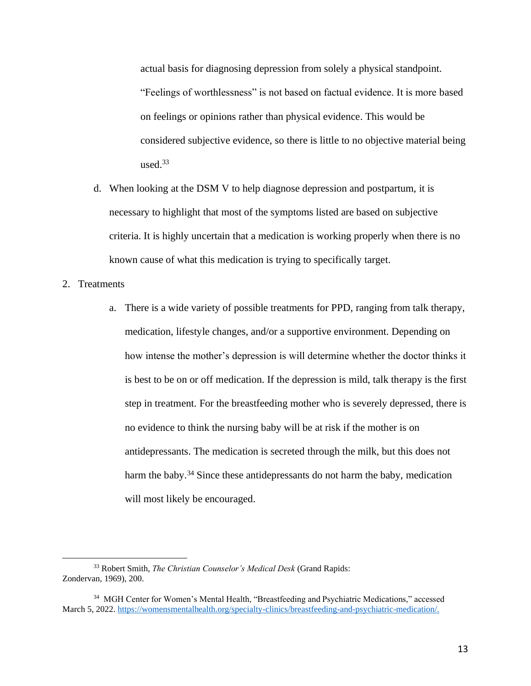actual basis for diagnosing depression from solely a physical standpoint. "Feelings of worthlessness" is not based on factual evidence. It is more based on feelings or opinions rather than physical evidence. This would be considered subjective evidence, so there is little to no objective material being used. $33$ 

- d. When looking at the DSM V to help diagnose depression and postpartum, it is necessary to highlight that most of the symptoms listed are based on subjective criteria. It is highly uncertain that a medication is working properly when there is no known cause of what this medication is trying to specifically target.
- 2. Treatments
	- a. There is a wide variety of possible treatments for PPD, ranging from talk therapy, medication, lifestyle changes, and/or a supportive environment. Depending on how intense the mother's depression is will determine whether the doctor thinks it is best to be on or off medication. If the depression is mild, talk therapy is the first step in treatment. For the breastfeeding mother who is severely depressed, there is no evidence to think the nursing baby will be at risk if the mother is on antidepressants. The medication is secreted through the milk, but this does not harm the baby.<sup>34</sup> Since these antidepressants do not harm the baby, medication will most likely be encouraged.

<sup>33</sup> Robert Smith, *The Christian Counselor's Medical Desk* (Grand Rapids: Zondervan, 1969), 200.

<sup>34</sup> MGH Center for Women's Mental Health, "Breastfeeding and Psychiatric Medications," accessed March 5, 2022. [https://womensmentalhealth.org/specialty-clinics/breastfeeding-and-psychiatric-medication/.](https://womensmentalhealth.org/specialty-clinics/breastfeeding-and-psychiatric-medication/)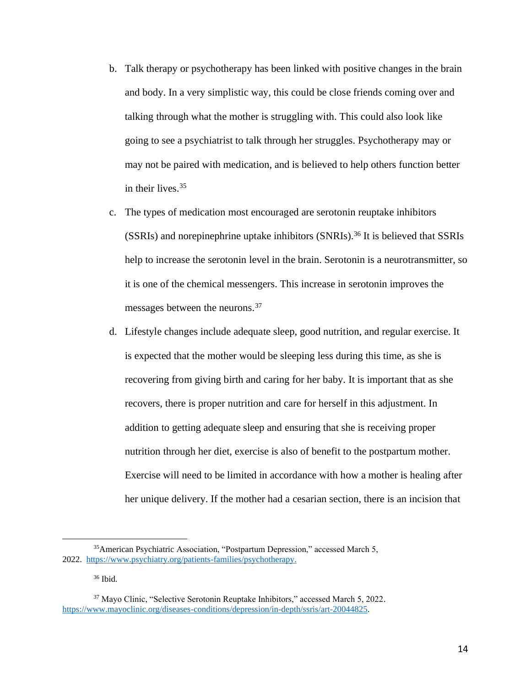- b. Talk therapy or psychotherapy has been linked with positive changes in the brain and body. In a very simplistic way, this could be close friends coming over and talking through what the mother is struggling with. This could also look like going to see a psychiatrist to talk through her struggles. Psychotherapy may or may not be paired with medication, and is believed to help others function better in their lives.<sup>35</sup>
- c. The types of medication most encouraged are serotonin reuptake inhibitors (SSRIs) and norepinephrine uptake inhibitors (SNRIs).<sup>36</sup> It is believed that SSRIs help to increase the serotonin level in the brain. Serotonin is a neurotransmitter, so it is one of the chemical messengers. This increase in serotonin improves the messages between the neurons.<sup>37</sup>
- d. Lifestyle changes include adequate sleep, good nutrition, and regular exercise. It is expected that the mother would be sleeping less during this time, as she is recovering from giving birth and caring for her baby. It is important that as she recovers, there is proper nutrition and care for herself in this adjustment. In addition to getting adequate sleep and ensuring that she is receiving proper nutrition through her diet, exercise is also of benefit to the postpartum mother. Exercise will need to be limited in accordance with how a mother is healing after her unique delivery. If the mother had a cesarian section, there is an incision that

<sup>36</sup> Ibid.

<sup>35</sup>American Psychiatric Association, "Postpartum Depression," accessed March 5, 2022. [https://www.psychiatry.org/patients-families/psychotherapy.](https://www.psychiatry.org/patients-families/psychotherapy)

<sup>37</sup> Mayo Clinic, "Selective Serotonin Reuptake Inhibitors," accessed March 5, 2022. [https://www.mayoclinic.org/diseases-conditions/depression/in-depth/ssris/art-20044825.](https://www.mayoclinic.org/diseases-conditions/depression/in-depth/ssris/art-20044825)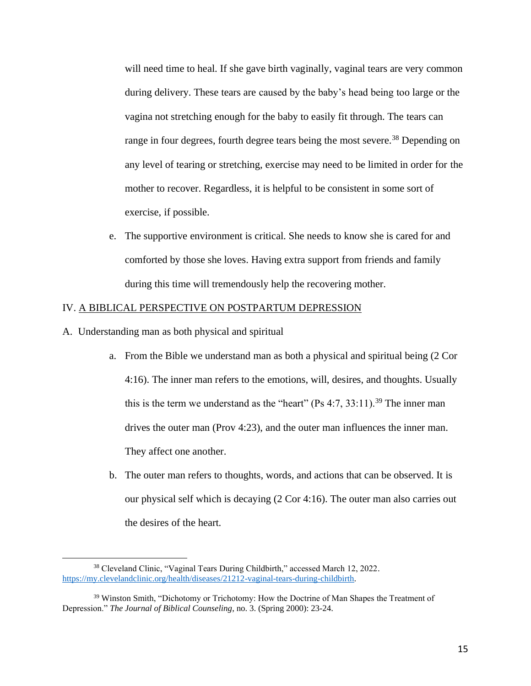will need time to heal. If she gave birth vaginally, vaginal tears are very common during delivery. These tears are caused by the baby's head being too large or the vagina not stretching enough for the baby to easily fit through. The tears can range in four degrees, fourth degree tears being the most severe.<sup>38</sup> Depending on any level of tearing or stretching, exercise may need to be limited in order for the mother to recover. Regardless, it is helpful to be consistent in some sort of exercise, if possible.

e. The supportive environment is critical. She needs to know she is cared for and comforted by those she loves. Having extra support from friends and family during this time will tremendously help the recovering mother.

# IV. A BIBLICAL PERSPECTIVE ON POSTPARTUM DEPRESSION

- A. Understanding man as both physical and spiritual
	- a. From the Bible we understand man as both a physical and spiritual being (2 Cor 4:16). The inner man refers to the emotions, will, desires, and thoughts. Usually this is the term we understand as the "heart" (Ps  $4:7, 33:11$ ).<sup>39</sup> The inner man drives the outer man (Prov 4:23), and the outer man influences the inner man. They affect one another.
	- b. The outer man refers to thoughts, words, and actions that can be observed. It is our physical self which is decaying (2 Cor 4:16). The outer man also carries out the desires of the heart.

<sup>38</sup> Cleveland Clinic, "Vaginal Tears During Childbirth," accessed March 12, 2022. [https://my.clevelandclinic.org/health/diseases/21212-vaginal-tears-during-childbirth.](https://my.clevelandclinic.org/health/diseases/21212-vaginal-tears-during-childbirth)

<sup>&</sup>lt;sup>39</sup> Winston Smith, "Dichotomy or Trichotomy: How the Doctrine of Man Shapes the Treatment of Depression." *The Journal of Biblical Counseling*, no. 3. (Spring 2000): 23-24.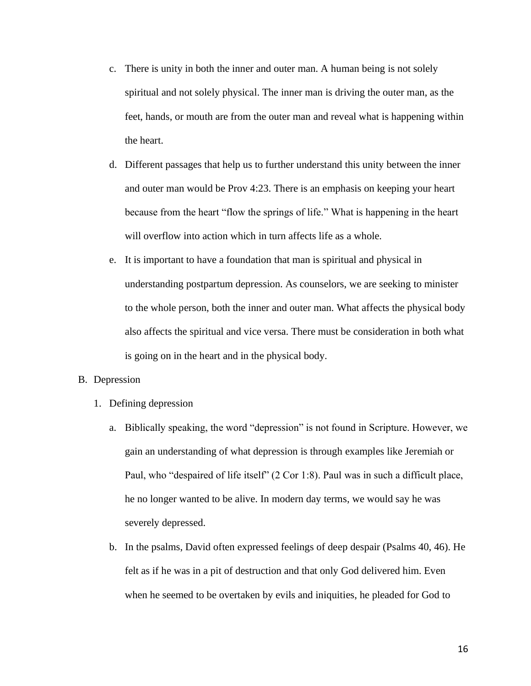- c. There is unity in both the inner and outer man. A human being is not solely spiritual and not solely physical. The inner man is driving the outer man, as the feet, hands, or mouth are from the outer man and reveal what is happening within the heart.
- d. Different passages that help us to further understand this unity between the inner and outer man would be Prov 4:23. There is an emphasis on keeping your heart because from the heart "flow the springs of life." What is happening in the heart will overflow into action which in turn affects life as a whole.
- e. It is important to have a foundation that man is spiritual and physical in understanding postpartum depression. As counselors, we are seeking to minister to the whole person, both the inner and outer man. What affects the physical body also affects the spiritual and vice versa. There must be consideration in both what is going on in the heart and in the physical body.

## B. Depression

- 1. Defining depression
	- a. Biblically speaking, the word "depression" is not found in Scripture. However, we gain an understanding of what depression is through examples like Jeremiah or Paul, who "despaired of life itself" (2 Cor 1:8). Paul was in such a difficult place, he no longer wanted to be alive. In modern day terms, we would say he was severely depressed.
	- b. In the psalms, David often expressed feelings of deep despair (Psalms 40, 46). He felt as if he was in a pit of destruction and that only God delivered him. Even when he seemed to be overtaken by evils and iniquities, he pleaded for God to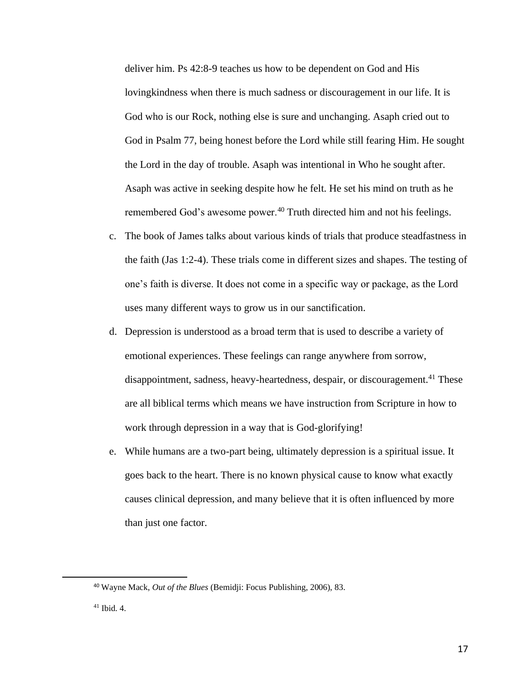deliver him. Ps 42:8-9 teaches us how to be dependent on God and His lovingkindness when there is much sadness or discouragement in our life. It is God who is our Rock, nothing else is sure and unchanging. Asaph cried out to God in Psalm 77, being honest before the Lord while still fearing Him. He sought the Lord in the day of trouble. Asaph was intentional in Who he sought after. Asaph was active in seeking despite how he felt. He set his mind on truth as he remembered God's awesome power.<sup>40</sup> Truth directed him and not his feelings.

- c. The book of James talks about various kinds of trials that produce steadfastness in the faith (Jas 1:2-4). These trials come in different sizes and shapes. The testing of one's faith is diverse. It does not come in a specific way or package, as the Lord uses many different ways to grow us in our sanctification.
- d. Depression is understood as a broad term that is used to describe a variety of emotional experiences. These feelings can range anywhere from sorrow, disappointment, sadness, heavy-heartedness, despair, or discouragement.<sup>41</sup> These are all biblical terms which means we have instruction from Scripture in how to work through depression in a way that is God-glorifying!
- e. While humans are a two-part being, ultimately depression is a spiritual issue. It goes back to the heart. There is no known physical cause to know what exactly causes clinical depression, and many believe that it is often influenced by more than just one factor.

<sup>40</sup> Wayne Mack, *Out of the Blues* (Bemidji: Focus Publishing, 2006), 83.

<sup>41</sup> Ibid. 4.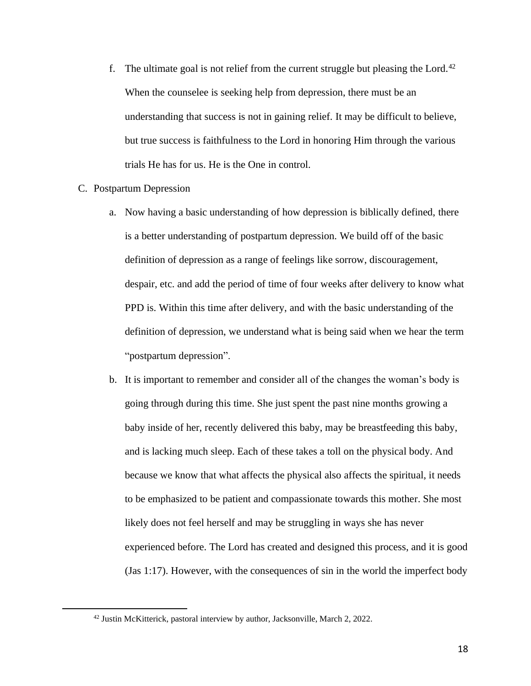- f. The ultimate goal is not relief from the current struggle but pleasing the Lord.<sup>42</sup> When the counselee is seeking help from depression, there must be an understanding that success is not in gaining relief. It may be difficult to believe, but true success is faithfulness to the Lord in honoring Him through the various trials He has for us. He is the One in control.
- C. Postpartum Depression
	- a. Now having a basic understanding of how depression is biblically defined, there is a better understanding of postpartum depression. We build off of the basic definition of depression as a range of feelings like sorrow, discouragement, despair, etc. and add the period of time of four weeks after delivery to know what PPD is. Within this time after delivery, and with the basic understanding of the definition of depression, we understand what is being said when we hear the term "postpartum depression".
	- b. It is important to remember and consider all of the changes the woman's body is going through during this time. She just spent the past nine months growing a baby inside of her, recently delivered this baby, may be breastfeeding this baby, and is lacking much sleep. Each of these takes a toll on the physical body. And because we know that what affects the physical also affects the spiritual, it needs to be emphasized to be patient and compassionate towards this mother. She most likely does not feel herself and may be struggling in ways she has never experienced before. The Lord has created and designed this process, and it is good (Jas 1:17). However, with the consequences of sin in the world the imperfect body

<sup>42</sup> Justin McKitterick, pastoral interview by author, Jacksonville, March 2, 2022.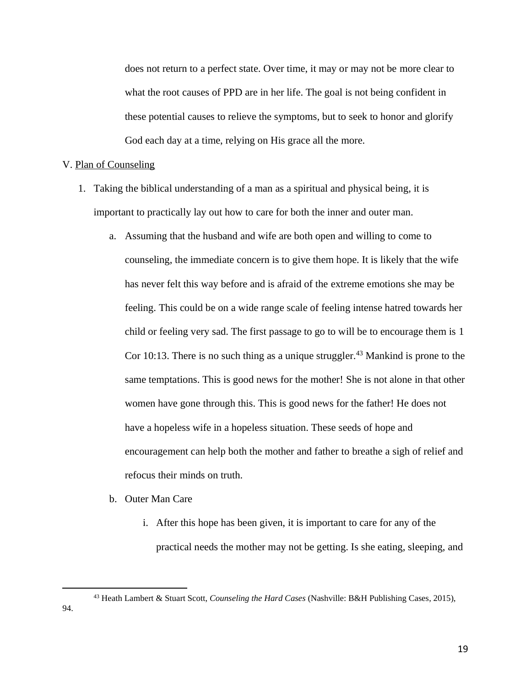does not return to a perfect state. Over time, it may or may not be more clear to what the root causes of PPD are in her life. The goal is not being confident in these potential causes to relieve the symptoms, but to seek to honor and glorify God each day at a time, relying on His grace all the more.

#### V. Plan of Counseling

- 1. Taking the biblical understanding of a man as a spiritual and physical being, it is important to practically lay out how to care for both the inner and outer man.
	- a. Assuming that the husband and wife are both open and willing to come to counseling, the immediate concern is to give them hope. It is likely that the wife has never felt this way before and is afraid of the extreme emotions she may be feeling. This could be on a wide range scale of feeling intense hatred towards her child or feeling very sad. The first passage to go to will be to encourage them is 1 Cor 10:13. There is no such thing as a unique struggler.<sup>43</sup> Mankind is prone to the same temptations. This is good news for the mother! She is not alone in that other women have gone through this. This is good news for the father! He does not have a hopeless wife in a hopeless situation. These seeds of hope and encouragement can help both the mother and father to breathe a sigh of relief and refocus their minds on truth.
	- b. Outer Man Care
		- i. After this hope has been given, it is important to care for any of the practical needs the mother may not be getting. Is she eating, sleeping, and

94.

<sup>43</sup> Heath Lambert & Stuart Scott, *Counseling the Hard Cases* (Nashville: B&H Publishing Cases, 2015),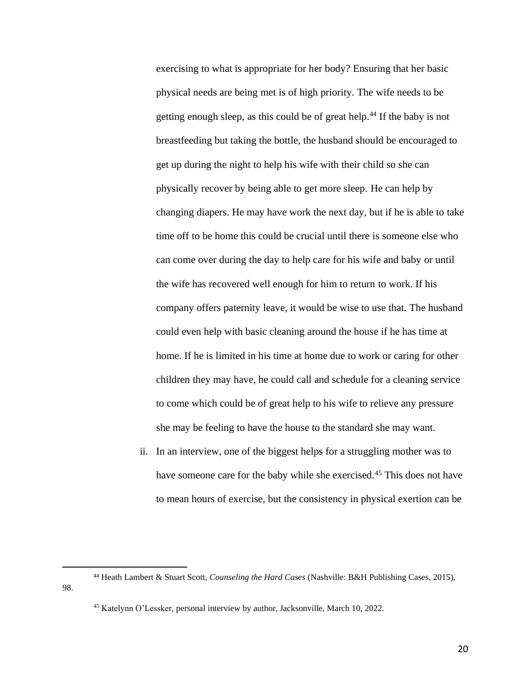exercising to what is appropriate for her body? Ensuring that her basic physical needs are being met is of high priority. The wife needs to be getting enough sleep, as this could be of great help.<sup>44</sup> If the baby is not breastfeeding but taking the bottle, the husband should be encouraged to get up during the night to help his wife with their child so she can physically recover by being able to get more sleep. He can help by changing diapers. He may have work the next day, but if he is able to take time off to be home this could be crucial until there is someone else who can come over during the day to help care for his wife and baby or until the wife has recovered well enough for him to return to work. If his company offers paternity leave, it would be wise to use that. The husband could even help with basic cleaning around the house if he has time at home. If he is limited in his time at home due to work or caring for other children they may have, he could call and schedule for a cleaning service to come which could be of great help to his wife to relieve any pressure she may be feeling to have the house to the standard she may want.

ii. In an interview, one of the biggest helps for a struggling mother was to have someone care for the baby while she exercised.<sup>45</sup> This does not have to mean hours of exercise, but the consistency in physical exertion can be

98.

20

<sup>44</sup> Heath Lambert & Stuart Scott, *Counseling the Hard Cases* (Nashville: B&H Publishing Cases, 2015),

<sup>45</sup> Katelynn O'Lessker, personal interview by author, Jacksonville, March 10, 2022.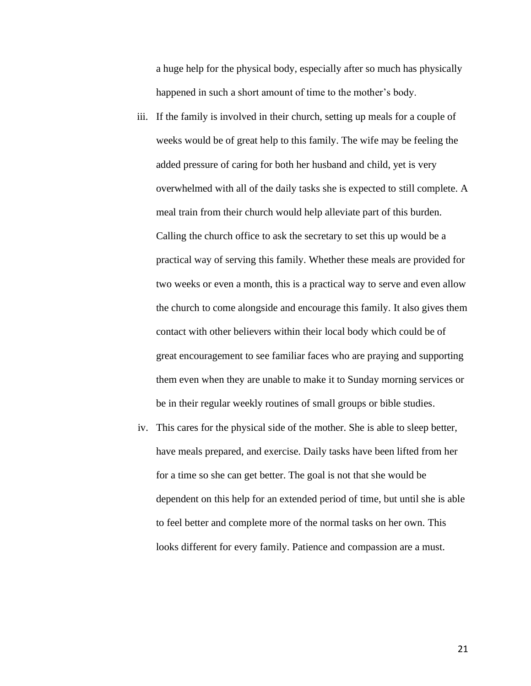a huge help for the physical body, especially after so much has physically happened in such a short amount of time to the mother's body.

- iii. If the family is involved in their church, setting up meals for a couple of weeks would be of great help to this family. The wife may be feeling the added pressure of caring for both her husband and child, yet is very overwhelmed with all of the daily tasks she is expected to still complete. A meal train from their church would help alleviate part of this burden. Calling the church office to ask the secretary to set this up would be a practical way of serving this family. Whether these meals are provided for two weeks or even a month, this is a practical way to serve and even allow the church to come alongside and encourage this family. It also gives them contact with other believers within their local body which could be of great encouragement to see familiar faces who are praying and supporting them even when they are unable to make it to Sunday morning services or be in their regular weekly routines of small groups or bible studies.
- iv. This cares for the physical side of the mother. She is able to sleep better, have meals prepared, and exercise. Daily tasks have been lifted from her for a time so she can get better. The goal is not that she would be dependent on this help for an extended period of time, but until she is able to feel better and complete more of the normal tasks on her own. This looks different for every family. Patience and compassion are a must.

21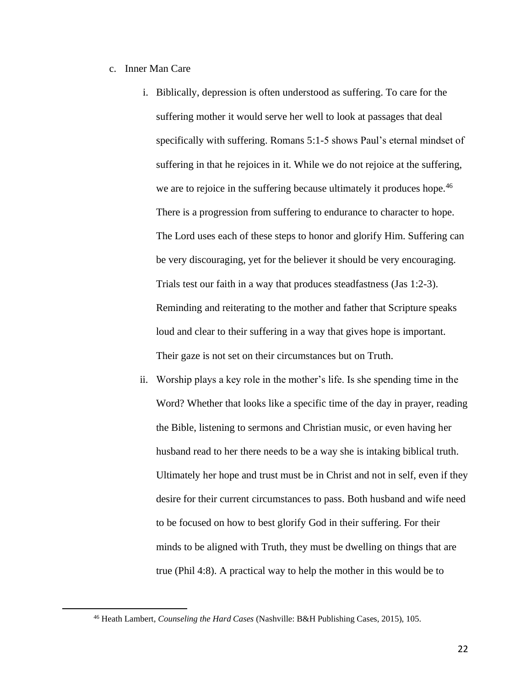## c. Inner Man Care

- i. Biblically, depression is often understood as suffering. To care for the suffering mother it would serve her well to look at passages that deal specifically with suffering. Romans 5:1-5 shows Paul's eternal mindset of suffering in that he rejoices in it. While we do not rejoice at the suffering, we are to rejoice in the suffering because ultimately it produces hope.<sup>46</sup> There is a progression from suffering to endurance to character to hope. The Lord uses each of these steps to honor and glorify Him. Suffering can be very discouraging, yet for the believer it should be very encouraging. Trials test our faith in a way that produces steadfastness (Jas 1:2-3). Reminding and reiterating to the mother and father that Scripture speaks loud and clear to their suffering in a way that gives hope is important. Their gaze is not set on their circumstances but on Truth.
- ii. Worship plays a key role in the mother's life. Is she spending time in the Word? Whether that looks like a specific time of the day in prayer, reading the Bible, listening to sermons and Christian music, or even having her husband read to her there needs to be a way she is intaking biblical truth. Ultimately her hope and trust must be in Christ and not in self, even if they desire for their current circumstances to pass. Both husband and wife need to be focused on how to best glorify God in their suffering. For their minds to be aligned with Truth, they must be dwelling on things that are true (Phil 4:8). A practical way to help the mother in this would be to

<sup>46</sup> Heath Lambert, *Counseling the Hard Cases* (Nashville: B&H Publishing Cases, 2015), 105.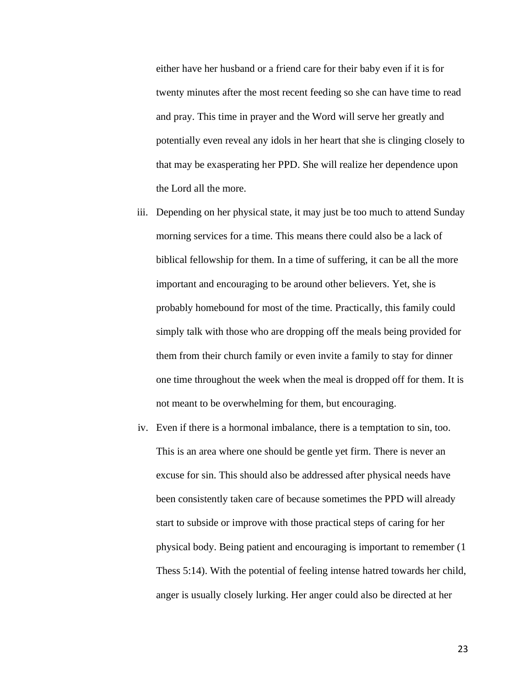either have her husband or a friend care for their baby even if it is for twenty minutes after the most recent feeding so she can have time to read and pray. This time in prayer and the Word will serve her greatly and potentially even reveal any idols in her heart that she is clinging closely to that may be exasperating her PPD. She will realize her dependence upon the Lord all the more.

- iii. Depending on her physical state, it may just be too much to attend Sunday morning services for a time. This means there could also be a lack of biblical fellowship for them. In a time of suffering, it can be all the more important and encouraging to be around other believers. Yet, she is probably homebound for most of the time. Practically, this family could simply talk with those who are dropping off the meals being provided for them from their church family or even invite a family to stay for dinner one time throughout the week when the meal is dropped off for them. It is not meant to be overwhelming for them, but encouraging.
- iv. Even if there is a hormonal imbalance, there is a temptation to sin, too. This is an area where one should be gentle yet firm. There is never an excuse for sin. This should also be addressed after physical needs have been consistently taken care of because sometimes the PPD will already start to subside or improve with those practical steps of caring for her physical body. Being patient and encouraging is important to remember (1 Thess 5:14). With the potential of feeling intense hatred towards her child, anger is usually closely lurking. Her anger could also be directed at her

23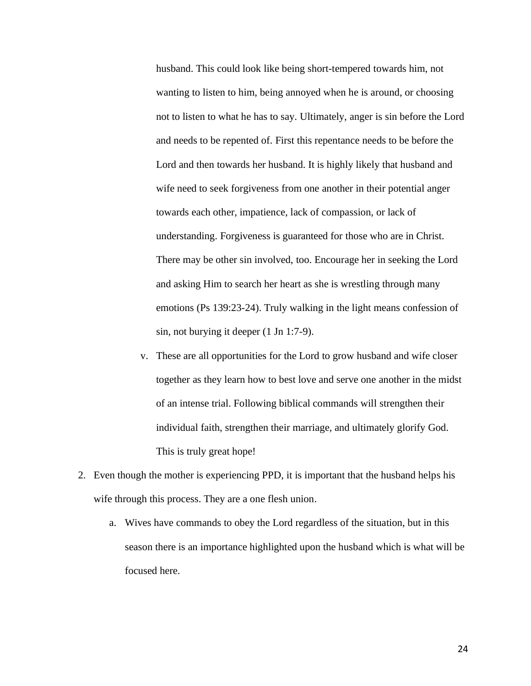husband. This could look like being short-tempered towards him, not wanting to listen to him, being annoyed when he is around, or choosing not to listen to what he has to say. Ultimately, anger is sin before the Lord and needs to be repented of. First this repentance needs to be before the Lord and then towards her husband. It is highly likely that husband and wife need to seek forgiveness from one another in their potential anger towards each other, impatience, lack of compassion, or lack of understanding. Forgiveness is guaranteed for those who are in Christ. There may be other sin involved, too. Encourage her in seeking the Lord and asking Him to search her heart as she is wrestling through many emotions (Ps 139:23-24). Truly walking in the light means confession of sin, not burying it deeper (1 Jn 1:7-9).

- v. These are all opportunities for the Lord to grow husband and wife closer together as they learn how to best love and serve one another in the midst of an intense trial. Following biblical commands will strengthen their individual faith, strengthen their marriage, and ultimately glorify God. This is truly great hope!
- 2. Even though the mother is experiencing PPD, it is important that the husband helps his wife through this process. They are a one flesh union.
	- a. Wives have commands to obey the Lord regardless of the situation, but in this season there is an importance highlighted upon the husband which is what will be focused here.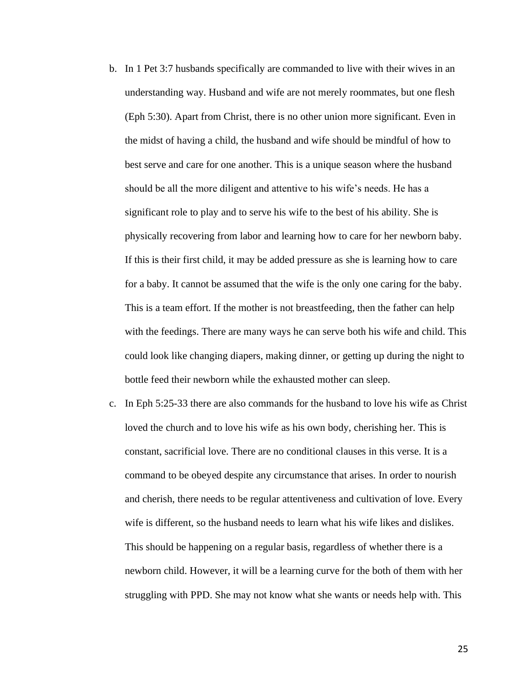- b. In 1 Pet 3:7 husbands specifically are commanded to live with their wives in an understanding way. Husband and wife are not merely roommates, but one flesh (Eph 5:30). Apart from Christ, there is no other union more significant. Even in the midst of having a child, the husband and wife should be mindful of how to best serve and care for one another. This is a unique season where the husband should be all the more diligent and attentive to his wife's needs. He has a significant role to play and to serve his wife to the best of his ability. She is physically recovering from labor and learning how to care for her newborn baby. If this is their first child, it may be added pressure as she is learning how to care for a baby. It cannot be assumed that the wife is the only one caring for the baby. This is a team effort. If the mother is not breastfeeding, then the father can help with the feedings. There are many ways he can serve both his wife and child. This could look like changing diapers, making dinner, or getting up during the night to bottle feed their newborn while the exhausted mother can sleep.
- c. In Eph 5:25-33 there are also commands for the husband to love his wife as Christ loved the church and to love his wife as his own body, cherishing her. This is constant, sacrificial love. There are no conditional clauses in this verse. It is a command to be obeyed despite any circumstance that arises. In order to nourish and cherish, there needs to be regular attentiveness and cultivation of love. Every wife is different, so the husband needs to learn what his wife likes and dislikes. This should be happening on a regular basis, regardless of whether there is a newborn child. However, it will be a learning curve for the both of them with her struggling with PPD. She may not know what she wants or needs help with. This

25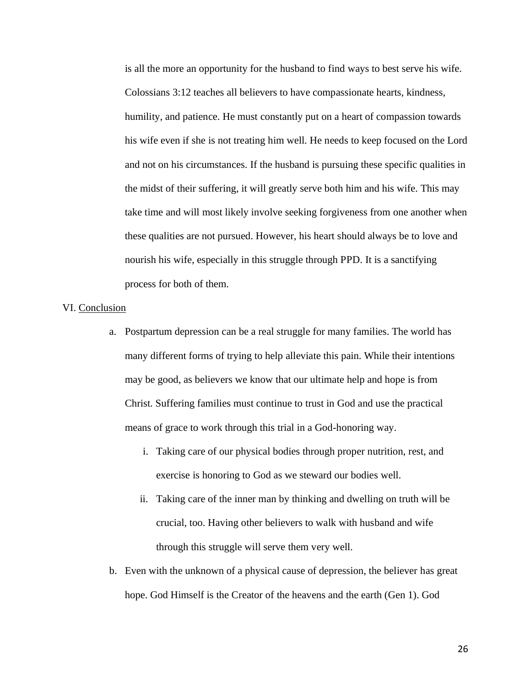is all the more an opportunity for the husband to find ways to best serve his wife. Colossians 3:12 teaches all believers to have compassionate hearts, kindness, humility, and patience. He must constantly put on a heart of compassion towards his wife even if she is not treating him well. He needs to keep focused on the Lord and not on his circumstances. If the husband is pursuing these specific qualities in the midst of their suffering, it will greatly serve both him and his wife. This may take time and will most likely involve seeking forgiveness from one another when these qualities are not pursued. However, his heart should always be to love and nourish his wife, especially in this struggle through PPD. It is a sanctifying process for both of them.

#### VI. Conclusion

- a. Postpartum depression can be a real struggle for many families. The world has many different forms of trying to help alleviate this pain. While their intentions may be good, as believers we know that our ultimate help and hope is from Christ. Suffering families must continue to trust in God and use the practical means of grace to work through this trial in a God-honoring way.
	- i. Taking care of our physical bodies through proper nutrition, rest, and exercise is honoring to God as we steward our bodies well.
	- ii. Taking care of the inner man by thinking and dwelling on truth will be crucial, too. Having other believers to walk with husband and wife through this struggle will serve them very well.
- b. Even with the unknown of a physical cause of depression, the believer has great hope. God Himself is the Creator of the heavens and the earth (Gen 1). God

26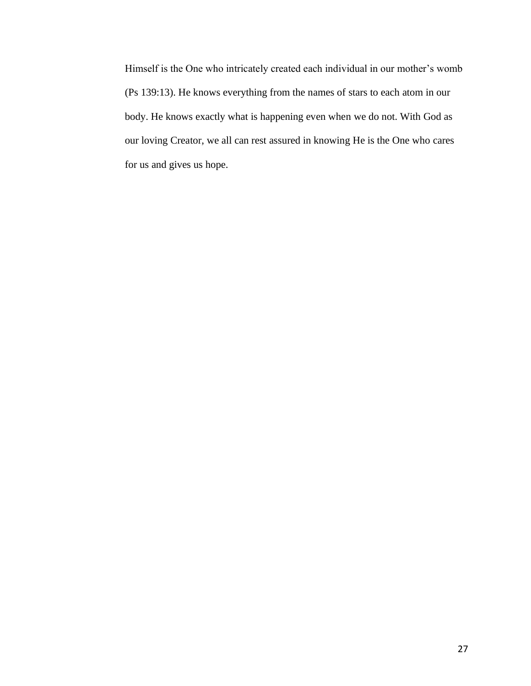Himself is the One who intricately created each individual in our mother's womb (Ps 139:13). He knows everything from the names of stars to each atom in our body. He knows exactly what is happening even when we do not. With God as our loving Creator, we all can rest assured in knowing He is the One who cares for us and gives us hope.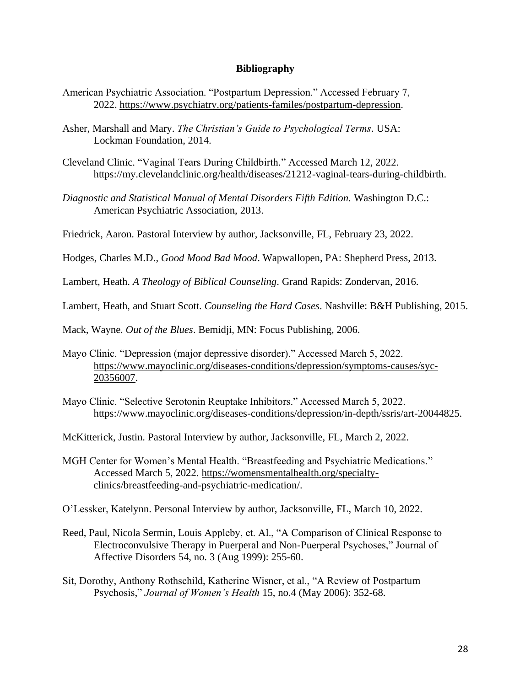# **Bibliography**

- American Psychiatric Association. "Postpartum Depression." Accessed February 7, 2022. [https://www.psychiatry.org/patients-familes/postpartum-depression.](https://www.psychiatry.org/patients-familes/postpartum-depression)
- Asher, Marshall and Mary. *The Christian's Guide to Psychological Terms.* USA: Lockman Foundation, 2014.
- Cleveland Clinic. "Vaginal Tears During Childbirth." Accessed March 12, 2022. [https://my.clevelandclinic.org/health/diseases/21212-vaginal-tears-during-childbirth.](https://my.clevelandclinic.org/health/diseases/21212-vaginal-tears-during-childbirth)
- *Diagnostic and Statistical Manual of Mental Disorders Fifth Edition*. Washington D.C.: American Psychiatric Association, 2013.

Friedrick, Aaron. Pastoral Interview by author, Jacksonville, FL, February 23, 2022.

Hodges, Charles M.D., *Good Mood Bad Mood*. Wapwallopen, PA: Shepherd Press, 2013.

Lambert, Heath. *A Theology of Biblical Counseling*. Grand Rapids: Zondervan, 2016.

Lambert, Heath, and Stuart Scott. *Counseling the Hard Cases*. Nashville: B&H Publishing, 2015.

Mack, Wayne. *Out of the Blues*. Bemidji, MN: Focus Publishing, 2006.

- Mayo Clinic. "Depression (major depressive disorder)." Accessed March 5, 2022. [https://www.mayoclinic.org/diseases-conditions/depression/symptoms-causes/syc-](https://www.mayoclinic.org/diseases-conditions/depression/symptoms-causes/syc-%2020356007)[20356007.](https://www.mayoclinic.org/diseases-conditions/depression/symptoms-causes/syc-%2020356007)
- Mayo Clinic. "Selective Serotonin Reuptake Inhibitors." Accessed March 5, 2022. https://www.mayoclinic.org/diseases-conditions/depression/in-depth/ssris/art-20044825.

McKitterick, Justin. Pastoral Interview by author, Jacksonville, FL, March 2, 2022.

MGH Center for Women's Mental Health. "Breastfeeding and Psychiatric Medications." Accessed March 5, 2022. [https://womensmentalhealth.org/specialty](https://womensmentalhealth.org/specialty-clinics/breastfeeding-and-psychiatric-medication/)[clinics/breastfeeding-and-psychiatric-medication/.](https://womensmentalhealth.org/specialty-clinics/breastfeeding-and-psychiatric-medication/)

O'Lessker, Katelynn. Personal Interview by author, Jacksonville, FL, March 10, 2022.

- Reed, Paul, Nicola Sermin, Louis Appleby, et. Al., "A Comparison of Clinical Response to Electroconvulsive Therapy in Puerperal and Non-Puerperal Psychoses," Journal of Affective Disorders 54, no. 3 (Aug 1999): 255-60.
- Sit, Dorothy, Anthony Rothschild, Katherine Wisner, et al., "A Review of Postpartum Psychosis," *Journal of Women's Health* 15, no.4 (May 2006): 352-68.